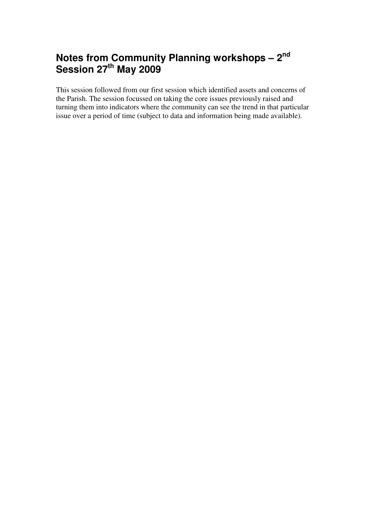## **Notes from Community Planning workshops – 2nd Session 27th May 2009**

This session followed from our first session which identified assets and concerns of the Parish. The session focussed on taking the core issues previously raised and turning them into indicators where the community can see the trend in that particular issue over a period of time (subject to data and information being made available).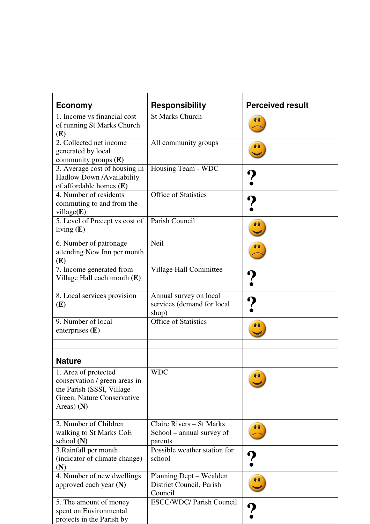| <b>Economy</b>                                                                                                                   | <b>Responsibility</b>                                            | <b>Perceived result</b> |
|----------------------------------------------------------------------------------------------------------------------------------|------------------------------------------------------------------|-------------------------|
| 1. Income vs financial cost<br>of running St Marks Church<br>(E)                                                                 | <b>St Marks Church</b>                                           |                         |
| 2. Collected net income<br>generated by local<br>community groups $(E)$                                                          | All community groups                                             |                         |
| 3. Average cost of housing in<br>Hadlow Down /Availability<br>of affordable homes $(E)$                                          | Housing Team - WDC                                               | $\boldsymbol{P}$        |
| 4. Number of residents<br>commuting to and from the<br>village $(E)$                                                             | <b>Office of Statistics</b>                                      | $\boldsymbol{v}$        |
| 5. Level of Precept vs cost of<br>living $(E)$                                                                                   | Parish Council                                                   |                         |
| 6. Number of patronage<br>attending New Inn per month<br>(E)                                                                     | Neil                                                             |                         |
| 7. Income generated from<br>Village Hall each month $(E)$                                                                        | Village Hall Committee                                           | ?                       |
| 8. Local services provision<br>(E)                                                                                               | Annual survey on local<br>services (demand for local<br>shop)    | $\sum_{i=1}^{n}$        |
| 9. Number of local<br>enterprises $(E)$                                                                                          | <b>Office of Statistics</b>                                      |                         |
| <b>Nature</b>                                                                                                                    |                                                                  |                         |
| 1. Area of protected<br>conservation / green areas in<br>the Parish (SSSI, Village<br>Green, Nature Conservative<br>Areas) $(N)$ | <b>WDC</b>                                                       |                         |
| 2. Number of Children<br>walking to St Marks CoE<br>school $(N)$                                                                 | Claire Rivers - St Marks<br>School – annual survey of<br>parents |                         |
| 3. Rainfall per month<br>(indicator of climate change)<br>(N)                                                                    | Possible weather station for<br>school                           |                         |
| 4. Number of new dwellings<br>approved each year $(N)$                                                                           | Planning Dept – Wealden<br>District Council, Parish<br>Council   |                         |
| 5. The amount of money<br>spent on Environmental<br>projects in the Parish by                                                    | <b>ESCC/WDC/ Parish Council</b>                                  |                         |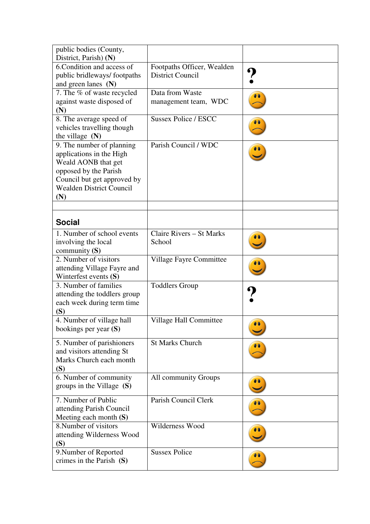| public bodies (County,<br>District, Parish) (N)                                                                                                                                |                                                       |  |
|--------------------------------------------------------------------------------------------------------------------------------------------------------------------------------|-------------------------------------------------------|--|
| 6. Condition and access of<br>public bridleways/footpaths<br>and green lanes $(N)$                                                                                             | Footpaths Officer, Wealden<br><b>District Council</b> |  |
| 7. The % of waste recycled<br>against waste disposed of<br>(N)                                                                                                                 | Data from Waste<br>management team, WDC               |  |
| 8. The average speed of<br>vehicles travelling though<br>the village $(N)$                                                                                                     | <b>Sussex Police / ESCC</b>                           |  |
| 9. The number of planning<br>applications in the High<br>Weald AONB that get<br>opposed by the Parish<br>Council but get approved by<br><b>Wealden District Council</b><br>(N) | Parish Council / WDC                                  |  |
|                                                                                                                                                                                |                                                       |  |
| <b>Social</b>                                                                                                                                                                  |                                                       |  |
| 1. Number of school events<br>involving the local<br>community $(S)$                                                                                                           | <b>Claire Rivers - St Marks</b><br>School             |  |
| 2. Number of visitors<br>attending Village Fayre and<br>Winterfest events (S)                                                                                                  | Village Fayre Committee                               |  |
| 3. Number of families<br>attending the toddlers group<br>each week during term time<br>(S)                                                                                     | <b>Toddlers Group</b>                                 |  |
| 4. Number of village hall<br>bookings per year (S)                                                                                                                             | <b>Village Hall Committee</b>                         |  |
| 5. Number of parishioners<br>and visitors attending St<br>Marks Church each month<br>(S)                                                                                       | <b>St Marks Church</b>                                |  |
| 6. Number of community<br>groups in the Village $(S)$                                                                                                                          | All community Groups                                  |  |
| 7. Number of Public<br>attending Parish Council<br>Meeting each month (S)                                                                                                      | Parish Council Clerk                                  |  |
| 8. Number of visitors<br>attending Wilderness Wood<br>(S)                                                                                                                      | Wilderness Wood                                       |  |
| 9. Number of Reported<br>crimes in the Parish $(S)$                                                                                                                            | Sussex Police                                         |  |